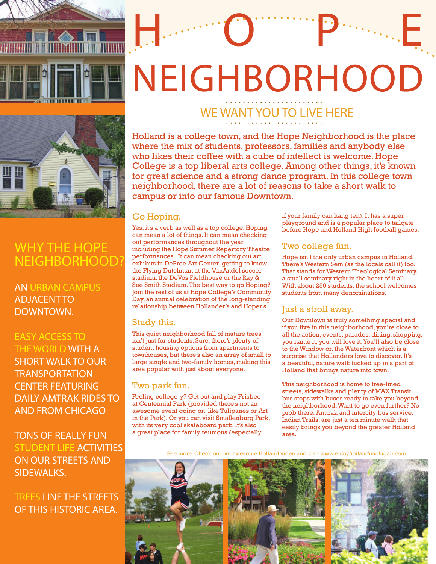

# NEIGHBORHOOD WE WANT YOU TO LIVE HERE

Hope Owner Products



# WHY THE HOPE NEIGHBORHOOD?

# AN URBAN CAMPUS ADJACENT TO DOWNTOWN.

## EASY ACCESS TO THE WORLD WITH A

SHORT WALK TO OUR **TRANSPORTATION** CENTER FEATURING DAILY AMTRAK RIDES TO AND FROM CHICAGO

TONS OF REALLY FUN STUDENT LIFE ACTIVITIES ON OUR STREETS AND SIDEWALKS.

# TREES LINE THE STREETS OF THIS HISTORIC AREA.

Holland is a college town, and the Hope Neighborhood is the place where the mix of students, professors, families and anybody else who likes their coffee with a cube of intellect is welcome. Hope College is a top liberal arts college. Among other things, it's known for great science and a strong dance program. In this college town neighborhood, there are a lot of reasons to take a short walk to campus or into our famous Downtown.

#### Go Hoping.

Yes, it's a verb as well as a top college. Hoping can mean a lot of things. It can mean checking out performances throughout the year including the Hope Summer Repertory Theatre performances. It can mean checking out art exhibits in DePree Art Center, getting to know the Flying Dutchman at the VanAndel soccer stadium, the DeVos Fieldhouse or the Ray & Sue Smith Stadium. The best way to go Hoping? Join the rest of us at Hope College's Community Day, an annual celebration of the long-standing relationship between Hollander's and Hoper's.

#### Study this.

This quiet neighborhood full of mature trees isn't just for students. Sure, there's plenty of student housing options from apartments to townhouses, but there's also an array of small to large single and two-family homes, making this area popular with just about everyone.

#### Two park fun.

Feeling college-y? Get out and play Frisbee at Centennial Park (provided there's not an awesome event going on, like Tulipanes or Art in the Park). Or you can visit Smallenburg Park, with its very cool skateboard park. It's also a great place for family reunions (especially

if your family can hang ten). It has a super playground and is a popular place to tailgate before Hope and Holland High football games.

### Two college fun.

Hope isn't the only urban campus in Holland. There's Western Sem (as the locals call it) too. That stands for Western Theological Seminary, a small seminary right in the heart of it all. With about 250 students, the school welcomes students from many denominations.

#### Just a stroll away.

Our Downtown is truly something special and if you live in this neighborhood, you're close to all the action, events, parades, dining, shopping, you name it, you will love it. You'll also be close to the Window on the Waterfront which is a surprise that Hollanders love to discover. It's a beautiful, nature walk tucked up in a part of Holland that brings nature into town.

This neighborhood is home to tree-lined streets, sidewalks and plenty of MAX Transit bus stops with buses ready to take you beyond the neighborhood. Want to go even further? No prob there. Amtrak and intercity bus service, Indian Trails, are just a ten minute walk that easily brings you beyond the greater Holland area.

See more. Check out our awesome Holland video and visit www.enjoyhollandmichigan.com.